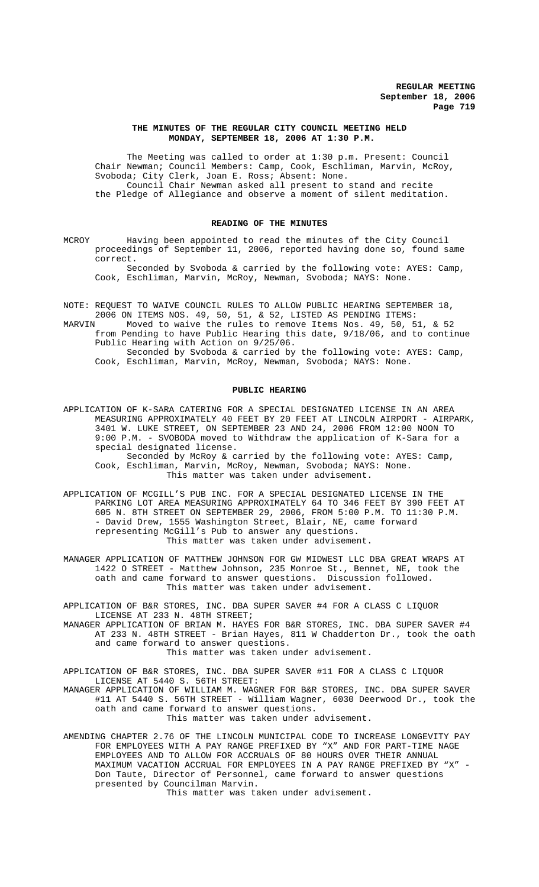#### **THE MINUTES OF THE REGULAR CITY COUNCIL MEETING HELD MONDAY, SEPTEMBER 18, 2006 AT 1:30 P.M.**

The Meeting was called to order at 1:30 p.m. Present: Council Chair Newman; Council Members: Camp, Cook, Eschliman, Marvin, McRoy, Svoboda; City Clerk, Joan E. Ross; Absent: None. Council Chair Newman asked all present to stand and recite the Pledge of Allegiance and observe a moment of silent meditation.

## **READING OF THE MINUTES**

MCROY Having been appointed to read the minutes of the City Council proceedings of September 11, 2006, reported having done so, found same correct.

Seconded by Svoboda & carried by the following vote: AYES: Camp, Cook, Eschliman, Marvin, McRoy, Newman, Svoboda; NAYS: None.

- NOTE: REQUEST TO WAIVE COUNCIL RULES TO ALLOW PUBLIC HEARING SEPTEMBER 18,
- 2006 ON ITEMS NOS. 49, 50, 51, & 52, LISTED AS PENDING ITEMS: Moved to waive the rules to remove Items Nos. 49, 50, 51, & 52 from Pending to have Public Hearing this date, 9/18/06, and to continue Public Hearing with Action on 9/25/06. Seconded by Svoboda & carried by the following vote: AYES: Camp,
	- Cook, Eschliman, Marvin, McRoy, Newman, Svoboda; NAYS: None.

### **PUBLIC HEARING**

APPLICATION OF K-SARA CATERING FOR A SPECIAL DESIGNATED LICENSE IN AN AREA MEASURING APPROXIMATELY 40 FEET BY 20 FEET AT LINCOLN AIRPORT - AIRPARK, 3401 W. LUKE STREET, ON SEPTEMBER 23 AND 24, 2006 FROM 12:00 NOON TO 9:00 P.M. - SVOBODA moved to Withdraw the application of K-Sara for a special designated license.

Seconded by McRoy & carried by the following vote: AYES: Camp, Cook, Eschliman, Marvin, McRoy, Newman, Svoboda; NAYS: None. This matter was taken under advisement.

- APPLICATION OF MCGILL'S PUB INC. FOR A SPECIAL DESIGNATED LICENSE IN THE PARKING LOT AREA MEASURING APPROXIMATELY 64 TO 346 FEET BY 390 FEET AT 605 N. 8TH STREET ON SEPTEMBER 29, 2006, FROM 5:00 P.M. TO 11:30 P.M. - David Drew, 1555 Washington Street, Blair, NE, came forward representing McGill's Pub to answer any questions. This matter was taken under advisement.
- MANAGER APPLICATION OF MATTHEW JOHNSON FOR GW MIDWEST LLC DBA GREAT WRAPS AT 1422 O STREET - Matthew Johnson, 235 Monroe St., Bennet, NE, took the oath and came forward to answer questions. Discussion followed. This matter was taken under advisement.

APPLICATION OF B&R STORES, INC. DBA SUPER SAVER #4 FOR A CLASS C LIQUOR LICENSE AT 233 N. 48TH STREET;

MANAGER APPLICATION OF BRIAN M. HAYES FOR B&R STORES, INC. DBA SUPER SAVER #4 AT 233 N. 48TH STREET - Brian Hayes, 811 W Chadderton Dr., took the oath and came forward to answer questions.

This matter was taken under advisement.

APPLICATION OF B&R STORES, INC. DBA SUPER SAVER #11 FOR A CLASS C LIQUOR LICENSE AT 5440 S. 56TH STREET:

MANAGER APPLICATION OF WILLIAM M. WAGNER FOR B&R STORES, INC. DBA SUPER SAVER #11 AT 5440 S. 56TH STREET - William Wagner, 6030 Deerwood Dr., took the oath and came forward to answer questions. This matter was taken under advisement.

AMENDING CHAPTER 2.76 OF THE LINCOLN MUNICIPAL CODE TO INCREASE LONGEVITY PAY FOR EMPLOYEES WITH A PAY RANGE PREFIXED BY "X" AND FOR PART-TIME NAGE EMPLOYEES AND TO ALLOW FOR ACCRUALS OF 80 HOURS OVER THEIR ANNUAL MAXIMUM VACATION ACCRUAL FOR EMPLOYEES IN A PAY RANGE PREFIXED BY "X" - Don Taute, Director of Personnel, came forward to answer questions presented by Councilman Marvin.

This matter was taken under advisement.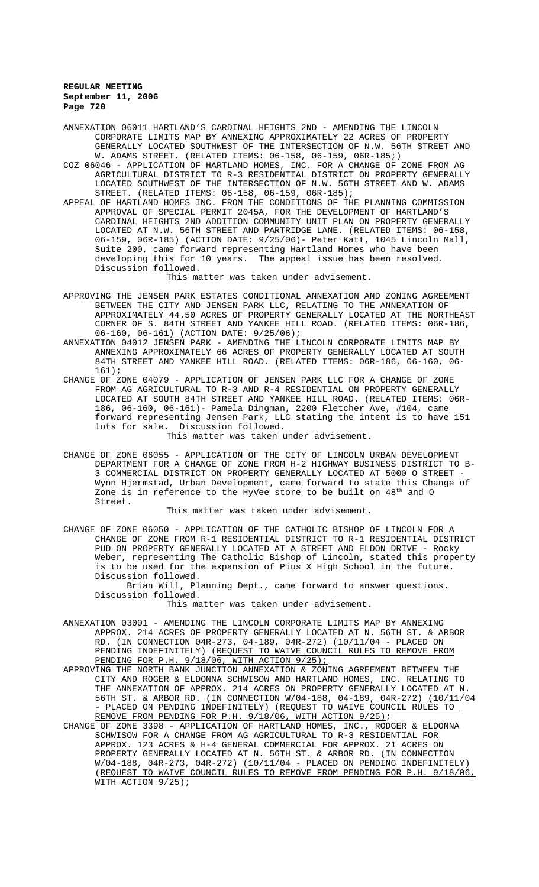ANNEXATION 06011 HARTLAND'S CARDINAL HEIGHTS 2ND - AMENDING THE LINCOLN CORPORATE LIMITS MAP BY ANNEXING APPROXIMATELY 22 ACRES OF PROPERTY GENERALLY LOCATED SOUTHWEST OF THE INTERSECTION OF N.W. 56TH STREET AND W. ADAMS STREET. (RELATED ITEMS: 06-158, 06-159, 06R-185;)

COZ 06046 - APPLICATION OF HARTLAND HOMES, INC. FOR A CHANGE OF ZONE FROM AG AGRICULTURAL DISTRICT TO R-3 RESIDENTIAL DISTRICT ON PROPERTY GENERALLY LOCATED SOUTHWEST OF THE INTERSECTION OF N.W. 56TH STREET AND W. ADAMS STREET. (RELATED ITEMS: 06-158, 06-159, 06R-185);

APPEAL OF HARTLAND HOMES INC. FROM THE CONDITIONS OF THE PLANNING COMMISSION APPROVAL OF SPECIAL PERMIT 2045A, FOR THE DEVELOPMENT OF HARTLAND'S CARDINAL HEIGHTS 2ND ADDITION COMMUNITY UNIT PLAN ON PROPERTY GENERALLY LOCATED AT N.W. 56TH STREET AND PARTRIDGE LANE. (RELATED ITEMS: 06-158, 06-159, 06R-185) (ACTION DATE: 9/25/06)- Peter Katt, 1045 Lincoln Mall, Suite 200, came forward representing Hartland Homes who have been developing this for 10 years. The appeal issue has been resolved. Discussion followed.

# This matter was taken under advisement.

- APPROVING THE JENSEN PARK ESTATES CONDITIONAL ANNEXATION AND ZONING AGREEMENT BETWEEN THE CITY AND JENSEN PARK LLC, RELATING TO THE ANNEXATION OF APPROXIMATELY 44.50 ACRES OF PROPERTY GENERALLY LOCATED AT THE NORTHEAST CORNER OF S. 84TH STREET AND YANKEE HILL ROAD. (RELATED ITEMS: 06R-186, 06-160, 06-161) (ACTION DATE: 9/25/06);
- ANNEXATION 04012 JENSEN PARK AMENDING THE LINCOLN CORPORATE LIMITS MAP BY ANNEXING APPROXIMATELY 66 ACRES OF PROPERTY GENERALLY LOCATED AT SOUTH 84TH STREET AND YANKEE HILL ROAD. (RELATED ITEMS: 06R-186, 06-160, 06- 161);
- CHANGE OF ZONE 04079 APPLICATION OF JENSEN PARK LLC FOR A CHANGE OF ZONE FROM AG AGRICULTURAL TO R-3 AND R-4 RESIDENTIAL ON PROPERTY GENERALLY LOCATED AT SOUTH 84TH STREET AND YANKEE HILL ROAD. (RELATED ITEMS: 06R-186, 06-160, 06-161)- Pamela Dingman, 2200 Fletcher Ave, #104, came forward representing Jensen Park, LLC stating the intent is to have 151 lots for sale. Discussion followed.

This matter was taken under advisement.

CHANGE OF ZONE 06055 - APPLICATION OF THE CITY OF LINCOLN URBAN DEVELOPMENT DEPARTMENT FOR A CHANGE OF ZONE FROM H-2 HIGHWAY BUSINESS DISTRICT TO B-3 COMMERCIAL DISTRICT ON PROPERTY GENERALLY LOCATED AT 5000 O STREET Wynn Hjermstad, Urban Development, came forward to state this Change of Zone is in reference to the HyVee store to be built on  $48<sup>th</sup>$  and O Street.

This matter was taken under advisement.

CHANGE OF ZONE 06050 - APPLICATION OF THE CATHOLIC BISHOP OF LINCOLN FOR A CHANGE OF ZONE FROM R-1 RESIDENTIAL DISTRICT TO R-1 RESIDENTIAL DISTRICT PUD ON PROPERTY GENERALLY LOCATED AT A STREET AND ELDON DRIVE - Rocky Weber, representing The Catholic Bishop of Lincoln, stated this property is to be used for the expansion of Pius X High School in the future. Discussion followed.

Brian Will, Planning Dept., came forward to answer questions. Discussion followed.

This matter was taken under advisement.

- ANNEXATION 03001 AMENDING THE LINCOLN CORPORATE LIMITS MAP BY ANNEXING APPROX. 214 ACRES OF PROPERTY GENERALLY LOCATED AT N. 56TH ST. & ARBOR RD. (IN CONNECTION 04R-273, 04-189, 04R-272) (10/11/04 - PLACED ON PENDING INDEFINITELY) (REQUEST TO WAIVE COUNCIL RULES TO REMOVE FROM PENDING FOR P.H. 9/18/06, WITH ACTION 9/25);
- APPROVING THE NORTH BANK JUNCTION ANNEXATION & ZONING AGREEMENT BETWEEN THE CITY AND ROGER & ELDONNA SCHWISOW AND HARTLAND HOMES, INC. RELATING TO THE ANNEXATION OF APPROX. 214 ACRES ON PROPERTY GENERALLY LOCATED AT N. 56TH ST. & ARBOR RD. (IN CONNECTION W/04-188, 04-189, 04R-272) (10/11/04 - PLACED ON PENDING INDEFINITELY) (REQUEST TO WAIVE COUNCIL RULES TO REMOVE FROM PENDING FOR P.H. 9/18/06, WITH ACTION 9/25);
- CHANGE OF ZONE 3398 APPLICATION OF HARTLAND HOMES, INC., RODGER & ELDONNA SCHWISOW FOR A CHANGE FROM AG AGRICULTURAL TO R-3 RESIDENTIAL FOR APPROX. 123 ACRES & H-4 GENERAL COMMERCIAL FOR APPROX. 21 ACRES ON PROPERTY GENERALLY LOCATED AT N. 56TH ST. & ARBOR RD. (IN CONNECTION W/04-188, 04R-273, 04R-272) (10/11/04 - PLACED ON PENDING INDEFINITELY) (REQUEST TO WAIVE COUNCIL RULES TO REMOVE FROM PENDING FOR P.H. 9/18/06, WITH ACTION 9/25);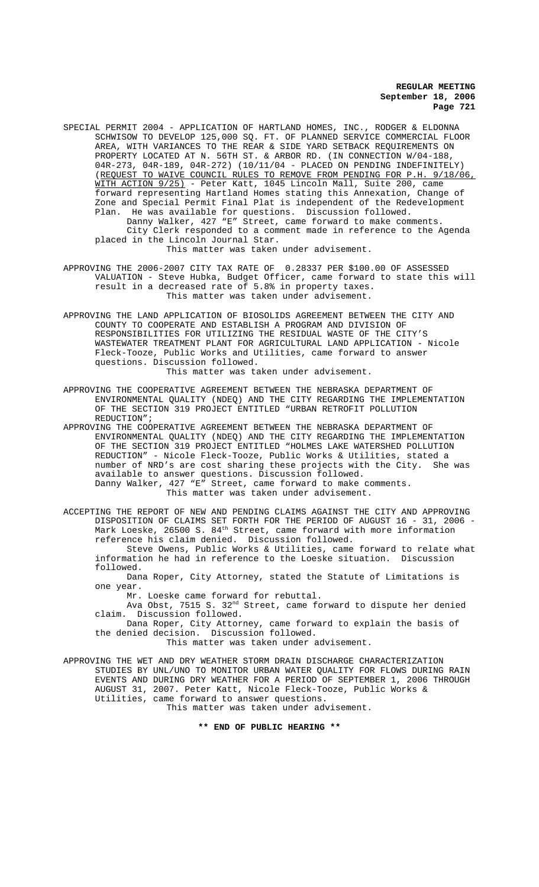- SPECIAL PERMIT 2004 APPLICATION OF HARTLAND HOMES, INC., RODGER & ELDONNA SCHWISOW TO DEVELOP 125,000 SQ. FT. OF PLANNED SERVICE COMMERCIAL FLOOR AREA, WITH VARIANCES TO THE REAR & SIDE YARD SETBACK REQUIREMENTS ON PROPERTY LOCATED AT N. 56TH ST. & ARBOR RD. (IN CONNECTION W/04-188, 04R-273, 04R-189, 04R-272) (10/11/04 - PLACED ON PENDING INDEFINITELY) (REQUEST TO WAIVE COUNCIL RULES TO REMOVE FROM PENDING FOR P.H. 9/18/06, WITH ACTION 9/25) - Peter Katt, 1045 Lincoln Mall, Suite 200, came forward representing Hartland Homes stating this Annexation, Change of Zone and Special Permit Final Plat is independent of the Redevelopment Plan. He was available for questions. Discussion followed. Danny Walker, 427 "E" Street, came forward to make comments. City Clerk responded to a comment made in reference to the Agenda placed in the Lincoln Journal Star. This matter was taken under advisement.
- APPROVING THE 2006-2007 CITY TAX RATE OF 0.28337 PER \$100.00 OF ASSESSED VALUATION - Steve Hubka, Budget Officer, came forward to state this will result in a decreased rate of 5.8% in property taxes. This matter was taken under advisement.
- APPROVING THE LAND APPLICATION OF BIOSOLIDS AGREEMENT BETWEEN THE CITY AND COUNTY TO COOPERATE AND ESTABLISH A PROGRAM AND DIVISION OF RESPONSIBILITIES FOR UTILIZING THE RESIDUAL WASTE OF THE CITY'S WASTEWATER TREATMENT PLANT FOR AGRICULTURAL LAND APPLICATION - Nicole Fleck-Tooze, Public Works and Utilities, came forward to answer questions. Discussion followed. This matter was taken under advisement.

- APPROVING THE COOPERATIVE AGREEMENT BETWEEN THE NEBRASKA DEPARTMENT OF ENVIRONMENTAL QUALITY (NDEQ) AND THE CITY REGARDING THE IMPLEMENTATION OF THE SECTION 319 PROJECT ENTITLED "URBAN RETROFIT POLLUTION REDUCTION";
- APPROVING THE COOPERATIVE AGREEMENT BETWEEN THE NEBRASKA DEPARTMENT OF ENVIRONMENTAL QUALITY (NDEQ) AND THE CITY REGARDING THE IMPLEMENTATION OF THE SECTION 319 PROJECT ENTITLED "HOLMES LAKE WATERSHED POLLUTION REDUCTION" - Nicole Fleck-Tooze, Public Works & Utilities, stated a number of NRD's are cost sharing these projects with the City. She was available to answer questions. Discussion followed. Danny Walker, 427 "E" Street, came forward to make comments. This matter was taken under advisement.

ACCEPTING THE REPORT OF NEW AND PENDING CLAIMS AGAINST THE CITY AND APPROVING DISPOSITION OF CLAIMS SET FORTH FOR THE PERIOD OF AUGUST 16 - 31, 2006 - Mark Loeske, 26500 S.  $84^{\rm th}$  Street, came forward with more information reference his claim denied. Discussion followed.

Steve Owens, Public Works & Utilities, came forward to relate what information he had in reference to the Loeske situation. Discussion followed.

Dana Roper, City Attorney, stated the Statute of Limitations is one year.

Mr. Loeske came forward for rebuttal.

Ava Obst, 7515 S. 32<sup>nd</sup> Street, came forward to dispute her denied claim. Discussion followed.

Dana Roper, City Attorney, came forward to explain the basis of the denied decision. Discussion followed. This matter was taken under advisement.

APPROVING THE WET AND DRY WEATHER STORM DRAIN DISCHARGE CHARACTERIZATION STUDIES BY UNL/UNO TO MONITOR URBAN WATER QUALITY FOR FLOWS DURING RAIN EVENTS AND DURING DRY WEATHER FOR A PERIOD OF SEPTEMBER 1, 2006 THROUGH AUGUST 31, 2007. Peter Katt, Nicole Fleck-Tooze, Public Works & Utilities, came forward to answer questions.

This matter was taken under advisement.

**\*\* END OF PUBLIC HEARING \*\***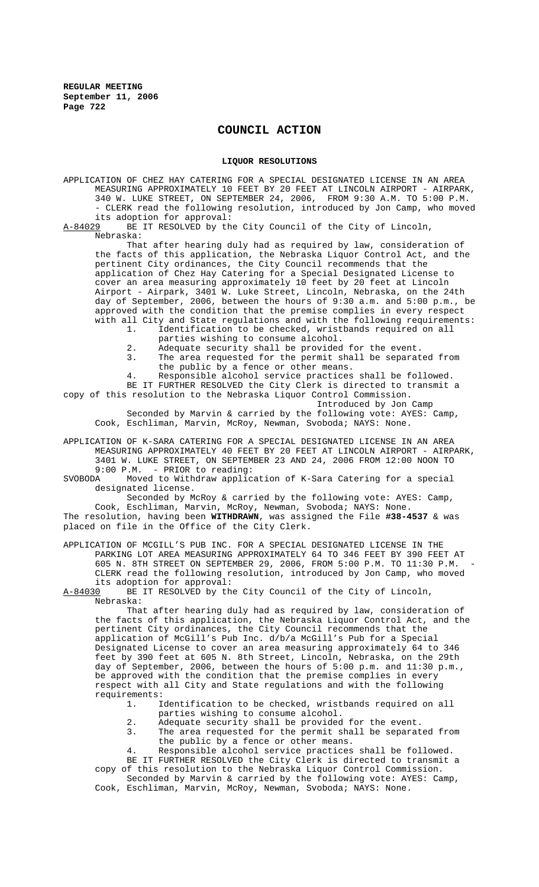# **COUNCIL ACTION**

## **LIQUOR RESOLUTIONS**

APPLICATION OF CHEZ HAY CATERING FOR A SPECIAL DESIGNATED LICENSE IN AN AREA MEASURING APPROXIMATELY 10 FEET BY 20 FEET AT LINCOLN AIRPORT - AIRPARK, 340 W. LUKE STREET, ON SEPTEMBER 24, 2006, FROM 9:30 A.M. TO 5:00 P.M. - CLERK read the following resolution, introduced by Jon Camp, who moved

its adoption for approval:<br>A-84029 BE IT RESOLVED by th BE IT RESOLVED by the City Council of the City of Lincoln, Nebraska:

That after hearing duly had as required by law, consideration of the facts of this application, the Nebraska Liquor Control Act, and the pertinent City ordinances, the City Council recommends that the application of Chez Hay Catering for a Special Designated License to cover an area measuring approximately 10 feet by 20 feet at Lincoln Airport - Airpark, 3401 W. Luke Street, Lincoln, Nebraska, on the 24th day of September, 2006, between the hours of 9:30 a.m. and 5:00 p.m., be approved with the condition that the premise complies in every respect with all City and State regulations and with the following requirements:<br>1. Identification to be checked, wristbands required on all

- 1. Identification to be checked, wristbands required on all parties wishing to consume alcohol.
- 2. Adequate security shall be provided for the event.<br>3. The area requested for the permit shall be separat
- The area requested for the permit shall be separated from the public by a fence or other means.

Responsible alcohol service practices shall be followed. BE IT FURTHER RESOLVED the City Clerk is directed to transmit a copy of this resolution to the Nebraska Liquor Control Commission.

Introduced by Jon Camp

Seconded by Marvin & carried by the following vote: AYES: Camp, Cook, Eschliman, Marvin, McRoy, Newman, Svoboda; NAYS: None.

APPLICATION OF K-SARA CATERING FOR A SPECIAL DESIGNATED LICENSE IN AN AREA MEASURING APPROXIMATELY 40 FEET BY 20 FEET AT LINCOLN AIRPORT - AIRPARK, 3401 W. LUKE STREET, ON SEPTEMBER 23 AND 24, 2006 FROM 12:00 NOON TO

9:00 P.M. - PRIOR to reading:<br>SVOBODA Moved to Withdraw applic Moved to Withdraw application of K-Sara Catering for a special designated license.

Seconded by McRoy & carried by the following vote: AYES: Camp, Cook, Eschliman, Marvin, McRoy, Newman, Svoboda; NAYS: None.

The resolution, having been **WITHDRAWN**, was assigned the File **#38-4537** & was placed on file in the Office of the City Clerk.

APPLICATION OF MCGILL'S PUB INC. FOR A SPECIAL DESIGNATED LICENSE IN THE PARKING LOT AREA MEASURING APPROXIMATELY 64 TO 346 FEET BY 390 FEET AT 605 N. 8TH STREET ON SEPTEMBER 29, 2006, FROM 5:00 P.M. TO 11:30 P.M. CLERK read the following resolution, introduced by Jon Camp, who moved its adoption for approval:<br>A-84030 BE IT RESOLVED by the

BE IT RESOLVED by the City Council of the City of Lincoln, Nebraska:

That after hearing duly had as required by law, consideration of the facts of this application, the Nebraska Liquor Control Act, and the pertinent City ordinances, the City Council recommends that the application of McGill's Pub Inc. d/b/a McGill's Pub for a Special Designated License to cover an area measuring approximately 64 to 346 feet by 390 feet at 605 N. 8th Street, Lincoln, Nebraska, on the 29th day of September, 2006, between the hours of 5:00 p.m. and 11:30 p.m., be approved with the condition that the premise complies in every respect with all City and State regulations and with the following requirements:<br>1. I

- Identification to be checked, wristbands required on all parties wishing to consume alcohol.
- 2. Adequate security shall be provided for the event.
- 3. The area requested for the permit shall be separated from
- the public by a fence or other means.

4. Responsible alcohol service practices shall be followed. BE IT FURTHER RESOLVED the City Clerk is directed to transmit a copy of this resolution to the Nebraska Liquor Control Commission.

Seconded by Marvin & carried by the following vote: AYES: Camp, Cook, Eschliman, Marvin, McRoy, Newman, Svoboda; NAYS: None.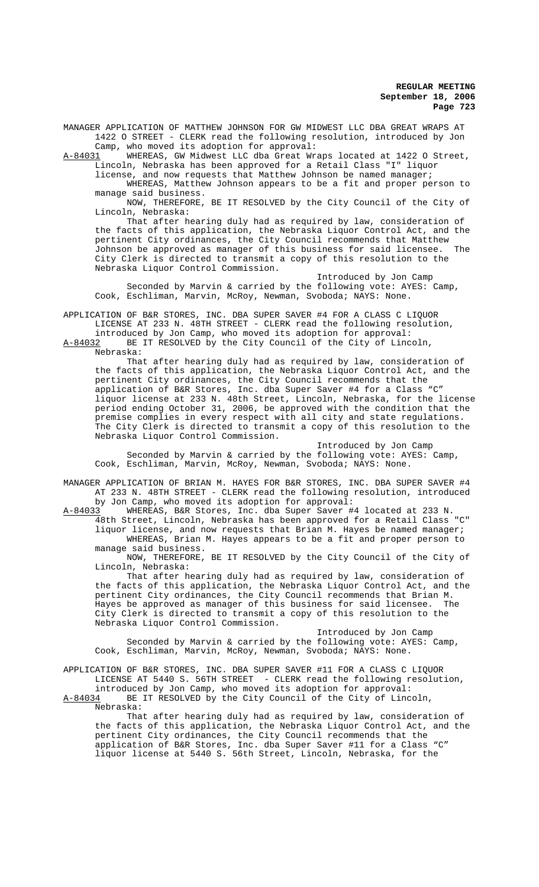MANAGER APPLICATION OF MATTHEW JOHNSON FOR GW MIDWEST LLC DBA GREAT WRAPS AT 1422 O STREET - CLERK read the following resolution, introduced by Jon Camp, who moved its adoption for approval:

A-84031 WHEREAS, GW Midwest LLC dba Great Wraps located at 1422 0 Street, Lincoln, Nebraska has been approved for a Retail Class "I" liquor

license, and now requests that Matthew Johnson be named manager; WHEREAS, Matthew Johnson appears to be a fit and proper person to manage said business.

NOW, THEREFORE, BE IT RESOLVED by the City Council of the City of Lincoln, Nebraska:

That after hearing duly had as required by law, consideration of the facts of this application, the Nebraska Liquor Control Act, and the pertinent City ordinances, the City Council recommends that Matthew Johnson be approved as manager of this business for said licensee. The City Clerk is directed to transmit a copy of this resolution to the Nebraska Liquor Control Commission.

Introduced by Jon Camp Seconded by Marvin & carried by the following vote: AYES: Camp, Cook, Eschliman, Marvin, McRoy, Newman, Svoboda; NAYS: None.

APPLICATION OF B&R STORES, INC. DBA SUPER SAVER #4 FOR A CLASS C LIQUOR LICENSE AT 233 N. 48TH STREET - CLERK read the following resolution,

introduced by Jon Camp, who moved its adoption for approval:<br>A-84032 BE IT RESOLVED by the City Council of the City of Linc BE IT RESOLVED by the City Council of the City of Lincoln,

Nebraska:

That after hearing duly had as required by law, consideration of the facts of this application, the Nebraska Liquor Control Act, and the pertinent City ordinances, the City Council recommends that the application of B&R Stores, Inc. dba Super Saver #4 for a Class "C" liquor license at 233 N. 48th Street, Lincoln, Nebraska, for the license period ending October 31, 2006, be approved with the condition that the premise complies in every respect with all city and state regulations. The City Clerk is directed to transmit a copy of this resolution to the Nebraska Liquor Control Commission.

Introduced by Jon Camp Seconded by Marvin & carried by the following vote: AYES: Camp, Cook, Eschliman, Marvin, McRoy, Newman, Svoboda; NAYS: None.

MANAGER APPLICATION OF BRIAN M. HAYES FOR B&R STORES, INC. DBA SUPER SAVER #4 AT 233 N. 48TH STREET - CLERK read the following resolution, introduced by Jon Camp, who moved its adoption for approval:

A-84033 WHEREAS, B&R Stores, Inc. dba Super Saver #4 located at 233 N. 48th Street, Lincoln, Nebraska has been approved for a Retail Class "C" liquor license, and now requests that Brian M. Hayes be named manager; WHEREAS, Brian M. Hayes appears to be a fit and proper person to manage said business.

NOW, THEREFORE, BE IT RESOLVED by the City Council of the City of Lincoln, Nebraska:

That after hearing duly had as required by law, consideration of the facts of this application, the Nebraska Liquor Control Act, and the pertinent City ordinances, the City Council recommends that Brian M. Hayes be approved as manager of this business for said licensee. The City Clerk is directed to transmit a copy of this resolution to the Nebraska Liquor Control Commission.

Introduced by Jon Camp Seconded by Marvin & carried by the following vote: AYES: Camp, Cook, Eschliman, Marvin, McRoy, Newman, Svoboda; NAYS: None.

APPLICATION OF B&R STORES, INC. DBA SUPER SAVER #11 FOR A CLASS C LIQUOR LICENSE AT 5440 S. 56TH STREET - CLERK read the following resolution,

introduced by Jon Camp, who moved its adoption for approval:<br>A-84034 BE IT RESOLVED by the City Council of the City of Linc BE IT RESOLVED by the City Council of the City of Lincoln, Nebraska:

That after hearing duly had as required by law, consideration of the facts of this application, the Nebraska Liquor Control Act, and the pertinent City ordinances, the City Council recommends that the application of B&R Stores, Inc. dba Super Saver #11 for a Class "C" liquor license at 5440 S. 56th Street, Lincoln, Nebraska, for the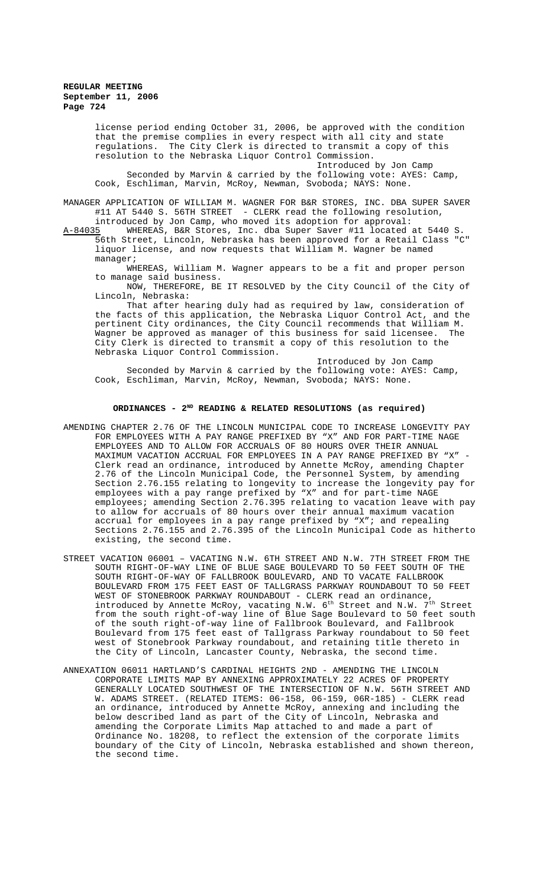license period ending October 31, 2006, be approved with the condition that the premise complies in every respect with all city and state regulations. The City Clerk is directed to transmit a copy of this resolution to the Nebraska Liquor Control Commission.

Introduced by Jon Camp Seconded by Marvin & carried by the following vote: AYES: Camp, Cook, Eschliman, Marvin, McRoy, Newman, Svoboda; NAYS: None.

MANAGER APPLICATION OF WILLIAM M. WAGNER FOR B&R STORES, INC. DBA SUPER SAVER #11 AT 5440 S. 56TH STREET - CLERK read the following resolution,

introduced by Jon Camp, who moved its adoption for approval:<br>A-84035 WHEREAS, B&R Stores, Inc. dba Super Saver #11 located WHEREAS, B&R Stores, Inc. dba Super Saver #11 located at 5440 S. 56th Street, Lincoln, Nebraska has been approved for a Retail Class "C" liquor license, and now requests that William M. Wagner be named manager;

WHEREAS, William M. Wagner appears to be a fit and proper person to manage said business.

NOW, THEREFORE, BE IT RESOLVED by the City Council of the City of Lincoln, Nebraska:

That after hearing duly had as required by law, consideration of the facts of this application, the Nebraska Liquor Control Act, and the pertinent City ordinances, the City Council recommends that William M. Wagner be approved as manager of this business for said licensee. The City Clerk is directed to transmit a copy of this resolution to the Nebraska Liquor Control Commission.

Introduced by Jon Camp

Seconded by Marvin & carried by the following vote: AYES: Camp, Cook, Eschliman, Marvin, McRoy, Newman, Svoboda; NAYS: None.

#### **ORDINANCES - 2ND READING & RELATED RESOLUTIONS (as required)**

- AMENDING CHAPTER 2.76 OF THE LINCOLN MUNICIPAL CODE TO INCREASE LONGEVITY PAY FOR EMPLOYEES WITH A PAY RANGE PREFIXED BY "X" AND FOR PART-TIME NAGE EMPLOYEES AND TO ALLOW FOR ACCRUALS OF 80 HOURS OVER THEIR ANNUAL MAXIMUM VACATION ACCRUAL FOR EMPLOYEES IN A PAY RANGE PREFIXED BY "X" - Clerk read an ordinance, introduced by Annette McRoy, amending Chapter 2.76 of the Lincoln Municipal Code, the Personnel System, by amending Section 2.76.155 relating to longevity to increase the longevity pay for employees with a pay range prefixed by "X" and for part-time NAGE employees; amending Section 2.76.395 relating to vacation leave with pay to allow for accruals of 80 hours over their annual maximum vacation accrual for employees in a pay range prefixed by "X"; and repealing Sections 2.76.155 and 2.76.395 of the Lincoln Municipal Code as hitherto existing, the second time.
- STREET VACATION 06001 VACATING N.W. 6TH STREET AND N.W. 7TH STREET FROM THE SOUTH RIGHT-OF-WAY LINE OF BLUE SAGE BOULEVARD TO 50 FEET SOUTH OF THE SOUTH RIGHT-OF-WAY OF FALLBROOK BOULEVARD, AND TO VACATE FALLBROOK BOULEVARD FROM 175 FEET EAST OF TALLGRASS PARKWAY ROUNDABOUT TO 50 FEET WEST OF STONEBROOK PARKWAY ROUNDABOUT - CLERK read an ordinance, introduced by Annette McRoy, vacating N.W.  $6^{\text{th}}$  Street and N.W.  $7^{\text{th}}$  Street from the south right-of-way line of Blue Sage Boulevard to 50 feet south of the south right-of-way line of Fallbrook Boulevard, and Fallbrook Boulevard from 175 feet east of Tallgrass Parkway roundabout to 50 feet west of Stonebrook Parkway roundabout, and retaining title thereto in the City of Lincoln, Lancaster County, Nebraska, the second time.
- ANNEXATION 06011 HARTLAND'S CARDINAL HEIGHTS 2ND AMENDING THE LINCOLN CORPORATE LIMITS MAP BY ANNEXING APPROXIMATELY 22 ACRES OF PROPERTY GENERALLY LOCATED SOUTHWEST OF THE INTERSECTION OF N.W. 56TH STREET AND W. ADAMS STREET. (RELATED ITEMS: 06-158, 06-159, 06R-185) - CLERK read an ordinance, introduced by Annette McRoy, annexing and including the below described land as part of the City of Lincoln, Nebraska and amending the Corporate Limits Map attached to and made a part of Ordinance No. 18208, to reflect the extension of the corporate limits boundary of the City of Lincoln, Nebraska established and shown thereon, the second time.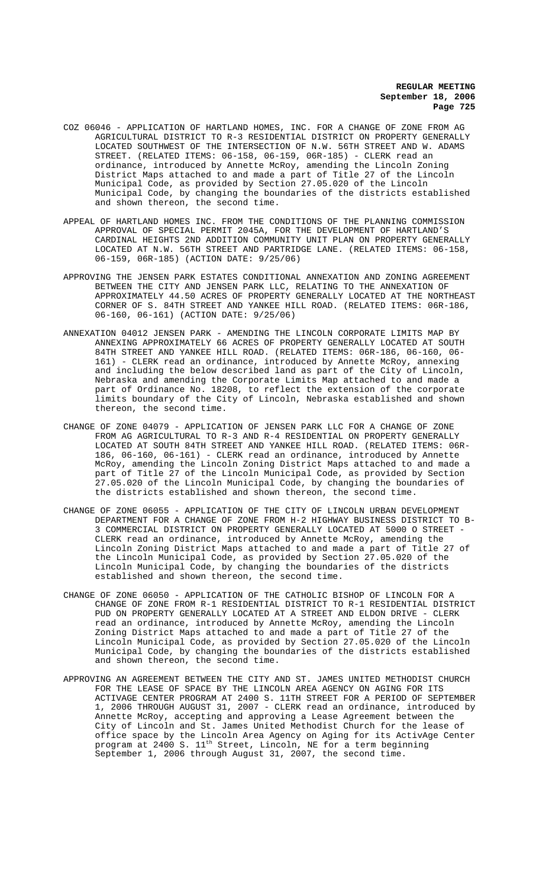- COZ 06046 APPLICATION OF HARTLAND HOMES, INC. FOR A CHANGE OF ZONE FROM AG AGRICULTURAL DISTRICT TO R-3 RESIDENTIAL DISTRICT ON PROPERTY GENERALLY LOCATED SOUTHWEST OF THE INTERSECTION OF N.W. 56TH STREET AND W. ADAMS STREET. (RELATED ITEMS: 06-158, 06-159, 06R-185) - CLERK read an ordinance, introduced by Annette McRoy, amending the Lincoln Zoning District Maps attached to and made a part of Title 27 of the Lincoln Municipal Code, as provided by Section 27.05.020 of the Lincoln Municipal Code, by changing the boundaries of the districts established and shown thereon, the second time.
- APPEAL OF HARTLAND HOMES INC. FROM THE CONDITIONS OF THE PLANNING COMMISSION APPROVAL OF SPECIAL PERMIT 2045A, FOR THE DEVELOPMENT OF HARTLAND'S CARDINAL HEIGHTS 2ND ADDITION COMMUNITY UNIT PLAN ON PROPERTY GENERALLY LOCATED AT N.W. 56TH STREET AND PARTRIDGE LANE. (RELATED ITEMS: 06-158, 06-159, 06R-185) (ACTION DATE: 9/25/06)
- APPROVING THE JENSEN PARK ESTATES CONDITIONAL ANNEXATION AND ZONING AGREEMENT BETWEEN THE CITY AND JENSEN PARK LLC, RELATING TO THE ANNEXATION OF APPROXIMATELY 44.50 ACRES OF PROPERTY GENERALLY LOCATED AT THE NORTHEAST CORNER OF S. 84TH STREET AND YANKEE HILL ROAD. (RELATED ITEMS: 06R-186, 06-160, 06-161) (ACTION DATE: 9/25/06)
- ANNEXATION 04012 JENSEN PARK AMENDING THE LINCOLN CORPORATE LIMITS MAP BY ANNEXING APPROXIMATELY 66 ACRES OF PROPERTY GENERALLY LOCATED AT SOUTH 84TH STREET AND YANKEE HILL ROAD. (RELATED ITEMS: 06R-186, 06-160, 06-161) - CLERK read an ordinance, introduced by Annette McRoy, annexing and including the below described land as part of the City of Lincoln, Nebraska and amending the Corporate Limits Map attached to and made a part of Ordinance No. 18208, to reflect the extension of the corporate limits boundary of the City of Lincoln, Nebraska established and shown thereon, the second time.
- CHANGE OF ZONE 04079 APPLICATION OF JENSEN PARK LLC FOR A CHANGE OF ZONE FROM AG AGRICULTURAL TO R-3 AND R-4 RESIDENTIAL ON PROPERTY GENERALLY LOCATED AT SOUTH 84TH STREET AND YANKEE HILL ROAD. (RELATED ITEMS: 06R-186, 06-160, 06-161) - CLERK read an ordinance, introduced by Annette McRoy, amending the Lincoln Zoning District Maps attached to and made a part of Title 27 of the Lincoln Municipal Code, as provided by Section 27.05.020 of the Lincoln Municipal Code, by changing the boundaries of the districts established and shown thereon, the second time.
- CHANGE OF ZONE 06055 APPLICATION OF THE CITY OF LINCOLN URBAN DEVELOPMENT DEPARTMENT FOR A CHANGE OF ZONE FROM H-2 HIGHWAY BUSINESS DISTRICT TO B-3 COMMERCIAL DISTRICT ON PROPERTY GENERALLY LOCATED AT 5000 O STREET - CLERK read an ordinance, introduced by Annette McRoy, amending the Lincoln Zoning District Maps attached to and made a part of Title 27 of the Lincoln Municipal Code, as provided by Section 27.05.020 of the Lincoln Municipal Code, by changing the boundaries of the districts established and shown thereon, the second time.
- CHANGE OF ZONE 06050 APPLICATION OF THE CATHOLIC BISHOP OF LINCOLN FOR A CHANGE OF ZONE FROM R-1 RESIDENTIAL DISTRICT TO R-1 RESIDENTIAL DISTRICT PUD ON PROPERTY GENERALLY LOCATED AT A STREET AND ELDON DRIVE - CLERK read an ordinance, introduced by Annette McRoy, amending the Lincoln Zoning District Maps attached to and made a part of Title 27 of the Lincoln Municipal Code, as provided by Section 27.05.020 of the Lincoln Municipal Code, by changing the boundaries of the districts established and shown thereon, the second time.
- APPROVING AN AGREEMENT BETWEEN THE CITY AND ST. JAMES UNITED METHODIST CHURCH FOR THE LEASE OF SPACE BY THE LINCOLN AREA AGENCY ON AGING FOR ITS ACTIVAGE CENTER PROGRAM AT 2400 S. 11TH STREET FOR A PERIOD OF SEPTEMBER 1, 2006 THROUGH AUGUST 31, 2007 - CLERK read an ordinance, introduced by Annette McRoy, accepting and approving a Lease Agreement between the City of Lincoln and St. James United Methodist Church for the lease of office space by the Lincoln Area Agency on Aging for its ActivAge Center program at 2400 S. 11<sup>th</sup> Street, Lincoln, NE for a term beginning September 1, 2006 through August 31, 2007, the second time.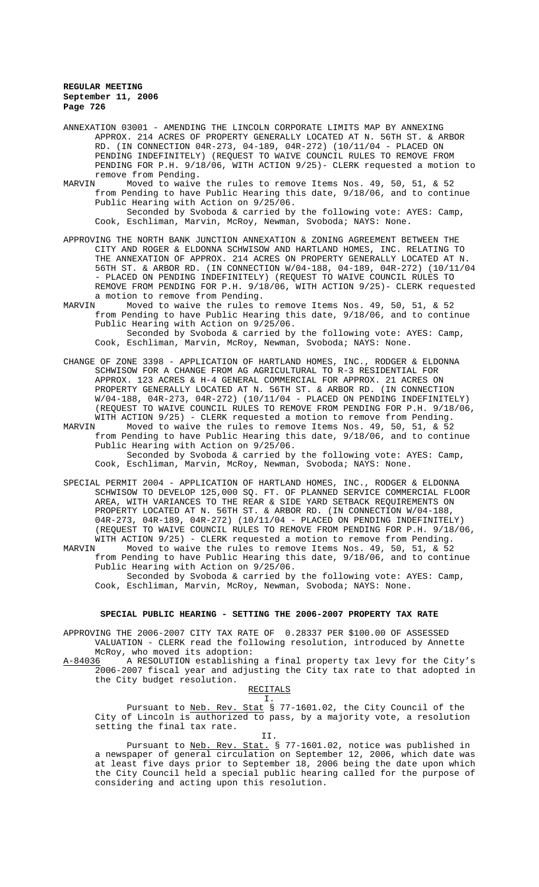ANNEXATION 03001 - AMENDING THE LINCOLN CORPORATE LIMITS MAP BY ANNEXING APPROX. 214 ACRES OF PROPERTY GENERALLY LOCATED AT N. 56TH ST. & ARBOR RD. (IN CONNECTION 04R-273, 04-189, 04R-272) (10/11/04 - PLACED ON PENDING INDEFINITELY) (REQUEST TO WAIVE COUNCIL RULES TO REMOVE FROM PENDING FOR P.H. 9/18/06, WITH ACTION 9/25)- CLERK requested a motion to remove from Pending.<br>MARVIN Moved to waive

- Moved to waive the rules to remove Items Nos. 49, 50, 51, & 52 from Pending to have Public Hearing this date, 9/18/06, and to continue Public Hearing with Action on 9/25/06. Seconded by Svoboda & carried by the following vote: AYES: Camp, Cook, Eschliman, Marvin, McRoy, Newman, Svoboda; NAYS: None.
- APPROVING THE NORTH BANK JUNCTION ANNEXATION & ZONING AGREEMENT BETWEEN THE CITY AND ROGER & ELDONNA SCHWISOW AND HARTLAND HOMES, INC. RELATING TO THE ANNEXATION OF APPROX. 214 ACRES ON PROPERTY GENERALLY LOCATED AT N. 56TH ST. & ARBOR RD. (IN CONNECTION W/04-188, 04-189, 04R-272) (10/11/04 - PLACED ON PENDING INDEFINITELY) (REQUEST TO WAIVE COUNCIL RULES TO REMOVE FROM PENDING FOR P.H. 9/18/06, WITH ACTION 9/25)- CLERK requested a motion to remove from Pending.<br>MARVIN Moved to waive the rules to

Moved to waive the rules to remove Items Nos. 49, 50, 51, & 52 from Pending to have Public Hearing this date, 9/18/06, and to continue Public Hearing with Action on 9/25/06. Seconded by Svoboda & carried by the following vote: AYES: Camp, Cook, Eschliman, Marvin, McRoy, Newman, Svoboda; NAYS: None.

- CHANGE OF ZONE 3398 APPLICATION OF HARTLAND HOMES, INC., RODGER & ELDONNA SCHWISOW FOR A CHANGE FROM AG AGRICULTURAL TO R-3 RESIDENTIAL FOR APPROX. 123 ACRES & H-4 GENERAL COMMERCIAL FOR APPROX. 21 ACRES ON PROPERTY GENERALLY LOCATED AT N. 56TH ST. & ARBOR RD. (IN CONNECTION W/04-188, 04R-273, 04R-272) (10/11/04 - PLACED ON PENDING INDEFINITELY) (REQUEST TO WAIVE COUNCIL RULES TO REMOVE FROM PENDING FOR P.H. 9/18/06, WITH ACTION 9/25) - CLERK requested a motion to remove from Pending.<br>MARVIN Moved to waive the rules to remove Items Nos. 49, 50, 51, & 52
- MARVIN Moved to waive the rules to remove Items Nos. 49, 50, 51, & 52 from Pending to have Public Hearing this date, 9/18/06, and to continue Public Hearing with Action on 9/25/06. Seconded by Svoboda & carried by the following vote: AYES: Camp, Cook, Eschliman, Marvin, McRoy, Newman, Svoboda; NAYS: None.
- SPECIAL PERMIT 2004 APPLICATION OF HARTLAND HOMES, INC., RODGER & ELDONNA SCHWISOW TO DEVELOP 125,000 SQ. FT. OF PLANNED SERVICE COMMERCIAL FLOOR AREA, WITH VARIANCES TO THE REAR & SIDE YARD SETBACK REQUIREMENTS ON PROPERTY LOCATED AT N. 56TH ST. & ARBOR RD. (IN CONNECTION W/04-188, 04R-273, 04R-189, 04R-272) (10/11/04 - PLACED ON PENDING INDEFINITELY) (REQUEST TO WAIVE COUNCIL RULES TO REMOVE FROM PENDING FOR P.H. 9/18/06, WITH ACTION 9/25) - CLERK requested a motion to remove from Pending.

MARVIN Moved to waive the rules to remove Items Nos. 49, 50, 51, & 52 from Pending to have Public Hearing this date, 9/18/06, and to continue Public Hearing with Action on 9/25/06.

Seconded by Svoboda & carried by the following vote: AYES: Camp, Cook, Eschliman, Marvin, McRoy, Newman, Svoboda; NAYS: None.

#### **SPECIAL PUBLIC HEARING - SETTING THE 2006-2007 PROPERTY TAX RATE**

APPROVING THE 2006-2007 CITY TAX RATE OF 0.28337 PER \$100.00 OF ASSESSED VALUATION - CLERK read the following resolution, introduced by Annette

McRoy, who moved its adoption:<br>A-84036 A RESOLUTION establishin A RESOLUTION establishing a final property tax levy for the City's 2006-2007 fiscal year and adjusting the City tax rate to that adopted in the City budget resolution.

# RECITALS

I. Pursuant to Neb. Rev. Stat § 77-1601.02, the City Council of the City of Lincoln is authorized to pass, by a majority vote, a resolution setting the final tax rate. II.

Pursuant to Neb. Rev. Stat. § 77-1601.02, notice was published in a newspaper of general circulation on September 12, 2006, which date was at least five days prior to September 18, 2006 being the date upon which the City Council held a special public hearing called for the purpose of considering and acting upon this resolution.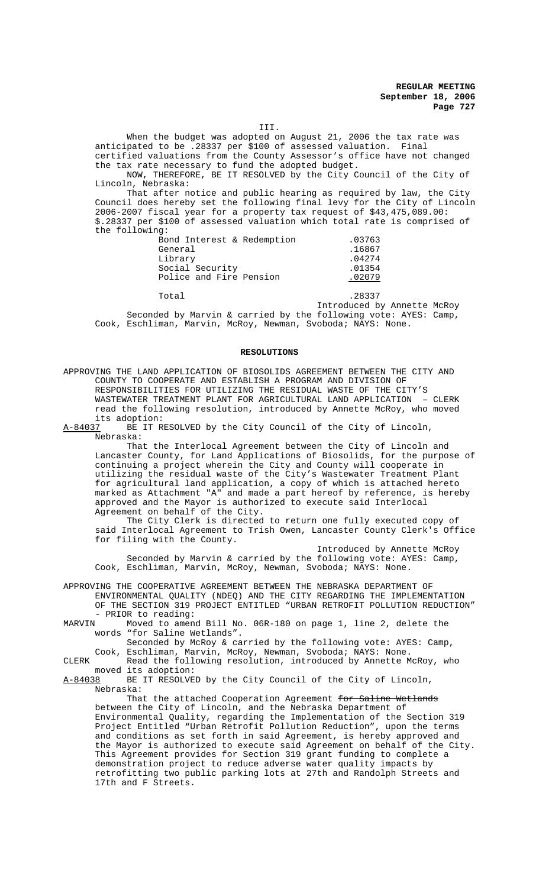III.

When the budget was adopted on August 21, 2006 the tax rate was anticipated to be .28337 per \$100 of assessed valuation. Final certified valuations from the County Assessor's office have not changed the tax rate necessary to fund the adopted budget.

NOW, THEREFORE, BE IT RESOLVED by the City Council of the City of Lincoln, Nebraska:

That after notice and public hearing as required by law, the City Council does hereby set the following final levy for the City of Lincoln 2006-2007 fiscal year for a property tax request of \$43,475,089.00: \$.28337 per \$100 of assessed valuation which total rate is comprised of the following:

| Bond Interest & Redemption | .03763 |
|----------------------------|--------|
| General                    | .16867 |
| Library                    | .04274 |
| Social Security            | .01354 |
| Police and Fire Pension    | .02079 |

Total .28337

Introduced by Annette McRoy Seconded by Marvin & carried by the following vote: AYES: Camp, Cook, Eschliman, Marvin, McRoy, Newman, Svoboda; NAYS: None.

#### **RESOLUTIONS**

APPROVING THE LAND APPLICATION OF BIOSOLIDS AGREEMENT BETWEEN THE CITY AND COUNTY TO COOPERATE AND ESTABLISH A PROGRAM AND DIVISION OF RESPONSIBILITIES FOR UTILIZING THE RESIDUAL WASTE OF THE CITY'S WASTEWATER TREATMENT PLANT FOR AGRICULTURAL LAND APPLICATION – CLERK read the following resolution, introduced by Annette McRoy, who moved

its adoption:<br><u>A-84037</u> BE IT R BE IT RESOLVED by the City Council of the City of Lincoln, Nebraska:

That the Interlocal Agreement between the City of Lincoln and Lancaster County, for Land Applications of Biosolids, for the purpose of continuing a project wherein the City and County will cooperate in utilizing the residual waste of the City's Wastewater Treatment Plant for agricultural land application, a copy of which is attached hereto marked as Attachment "A" and made a part hereof by reference, is hereby approved and the Mayor is authorized to execute said Interlocal Agreement on behalf of the City.

The City Clerk is directed to return one fully executed copy of said Interlocal Agreement to Trish Owen, Lancaster County Clerk's Office for filing with the County.

Introduced by Annette McRoy Seconded by Marvin & carried by the following vote: AYES: Camp, Cook, Eschliman, Marvin, McRoy, Newman, Svoboda; NAYS: None.

APPROVING THE COOPERATIVE AGREEMENT BETWEEN THE NEBRASKA DEPARTMENT OF ENVIRONMENTAL QUALITY (NDEQ) AND THE CITY REGARDING THE IMPLEMENTATION OF THE SECTION 319 PROJECT ENTITLED "URBAN RETROFIT POLLUTION REDUCTION" - PRIOR to reading:<br>MARVIN Moved to amen

Moved to amend Bill No. 06R-180 on page 1, line 2, delete the words "for Saline Wetlands".

Seconded by McRoy & carried by the following vote: AYES: Camp,

Cook, Eschliman, Marvin, McRoy, Newman, Svoboda; NAYS: None. CLERK Read the following resolution, introduced by Annette McRoy, who

moved its adoption:<br>A-84038 BE IT RESOLVE BE IT RESOLVED by the City Council of the City of Lincoln, Nebraska:

That the attached Cooperation Agreement for Saline Wetlands between the City of Lincoln, and the Nebraska Department of Environmental Quality, regarding the Implementation of the Section 319 Project Entitled "Urban Retrofit Pollution Reduction", upon the terms and conditions as set forth in said Agreement, is hereby approved and the Mayor is authorized to execute said Agreement on behalf of the City. This Agreement provides for Section 319 grant funding to complete a demonstration project to reduce adverse water quality impacts by retrofitting two public parking lots at 27th and Randolph Streets and 17th and F Streets.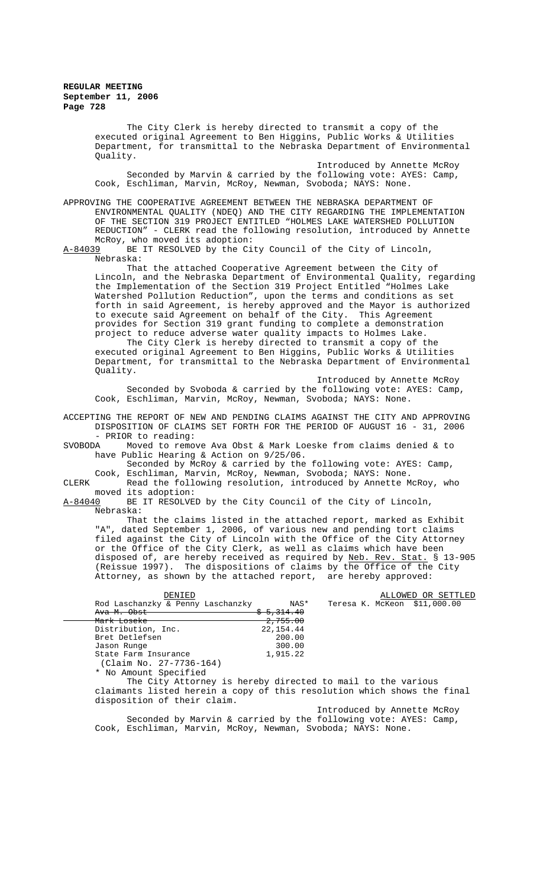The City Clerk is hereby directed to transmit a copy of the executed original Agreement to Ben Higgins, Public Works & Utilities Department, for transmittal to the Nebraska Department of Environmental Quality. Introduced by Annette McRoy Seconded by Marvin & carried by the following vote: AYES: Camp, Cook, Eschliman, Marvin, McRoy, Newman, Svoboda; NAYS: None. APPROVING THE COOPERATIVE AGREEMENT BETWEEN THE NEBRASKA DEPARTMENT OF ENVIRONMENTAL QUALITY (NDEQ) AND THE CITY REGARDING THE IMPLEMENTATION OF THE SECTION 319 PROJECT ENTITLED "HOLMES LAKE WATERSHED POLLUTION REDUCTION" - CLERK read the following resolution, introduced by Annette McRoy, who moved its adoption:<br>A-84039 BE IT RESOLVED by the Ci BE IT RESOLVED by the City Council of the City of Lincoln, Nebraska: That the attached Cooperative Agreement between the City of Lincoln, and the Nebraska Department of Environmental Quality, regarding the Implementation of the Section 319 Project Entitled "Holmes Lake Watershed Pollution Reduction", upon the terms and conditions as set forth in said Agreement, is hereby approved and the Mayor is authorized to execute said Agreement on behalf of the City. This Agreement provides for Section 319 grant funding to complete a demonstration project to reduce adverse water quality impacts to Holmes Lake. The City Clerk is hereby directed to transmit a copy of the executed original Agreement to Ben Higgins, Public Works & Utilities Department, for transmittal to the Nebraska Department of Environmental Quality. Introduced by Annette McRoy Seconded by Svoboda & carried by the following vote: AYES: Camp, Cook, Eschliman, Marvin, McRoy, Newman, Svoboda; NAYS: None. ACCEPTING THE REPORT OF NEW AND PENDING CLAIMS AGAINST THE CITY AND APPROVING DISPOSITION OF CLAIMS SET FORTH FOR THE PERIOD OF AUGUST 16 - 31, 2006 - PRIOR to reading:<br>SVOBODA Moved to remo Moved to remove Ava Obst & Mark Loeske from claims denied & to have Public Hearing & Action on 9/25/06. Seconded by McRoy & carried by the following vote: AYES: Camp, Cook, Eschliman, Marvin, McRoy, Newman, Svoboda; NAYS: None.<br>CLERK Read the following resolution, introduced by Annette M Read the following resolution, introduced by Annette McRoy, who moved its adoption:<br>A-84040 BE IT RESOLVE BE IT RESOLVED by the City Council of the City of Lincoln, Nebraska: That the claims listed in the attached report, marked as Exhibit "A", dated September 1, 2006, of various new and pending tort claims filed against the City of Lincoln with the Office of the City Attorney or the Office of the City Clerk, as well as claims which have been disposed of, are hereby received as required by Neb. Rev. Stat. § 13-905 (Reissue 1997). The dispositions of claims by the Office of the City Attorney, as shown by the attached report, are hereby approved: DENIED ALLOWED OR SETTLED<br>
& Penny Laschanzky MAS\* Teresa K. McKeon \$11,000.00 Rod Laschanzky  $\overline{\text{c}}$  Penny Laschanzky Ava M. Obst  $\frac{1}{2}$  5,314.40<br>Mark Loseke 2,755.00 Mark Loseke 2,755.00<br>Distribution, Inc. 22,154.44 Distribution, Inc. 22, 154.44<br>Bret Detlefsen 200.00 Bret Detlefsen 200.00<br>
Jason Runge 200.00 Jason Runge 300.00<br>State Farm Insurance 300.00 State Farm Insurance (Claim No. 27-7736-164) \* No Amount Specified The City Attorney is hereby directed to mail to the various claimants listed herein a copy of this resolution which shows the final disposition of their claim.

Introduced by Annette McRoy Seconded by Marvin & carried by the following vote: AYES: Camp, Cook, Eschliman, Marvin, McRoy, Newman, Svoboda; NAYS: None.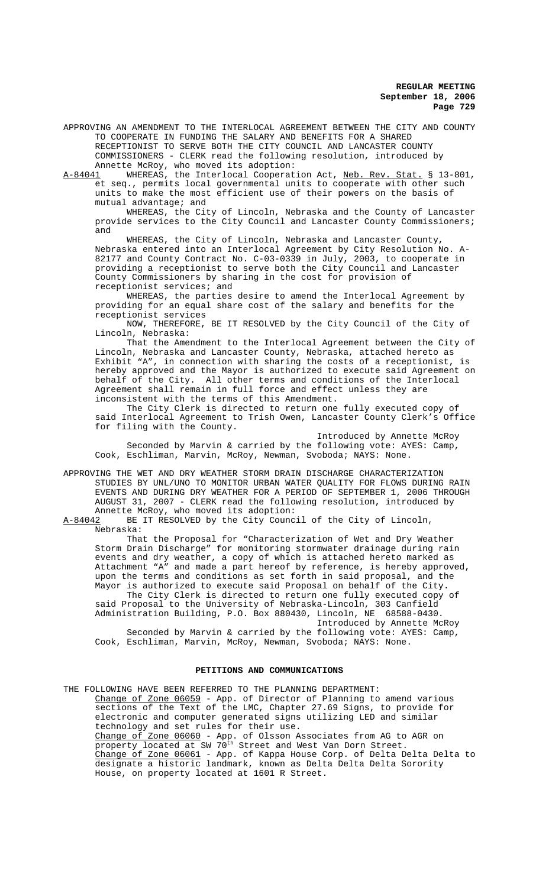APPROVING AN AMENDMENT TO THE INTERLOCAL AGREEMENT BETWEEN THE CITY AND COUNTY TO COOPERATE IN FUNDING THE SALARY AND BENEFITS FOR A SHARED RECEPTIONIST TO SERVE BOTH THE CITY COUNCIL AND LANCASTER COUNTY COMMISSIONERS - CLERK read the following resolution, introduced by Annette McRoy, who moved its adoption:

A-84041 WHEREAS, the Interlocal Cooperation Act, <u>Neb. Rev. Stat.</u> § 13-801, et seq., permits local governmental units to cooperate with other such units to make the most efficient use of their powers on the basis of mutual advantage; and

WHEREAS, the City of Lincoln, Nebraska and the County of Lancaster provide services to the City Council and Lancaster County Commissioners; and

WHEREAS, the City of Lincoln, Nebraska and Lancaster County, Nebraska entered into an Interlocal Agreement by City Resolution No. A-82177 and County Contract No. C-03-0339 in July, 2003, to cooperate in providing a receptionist to serve both the City Council and Lancaster County Commissioners by sharing in the cost for provision of receptionist services; and

WHEREAS, the parties desire to amend the Interlocal Agreement by providing for an equal share cost of the salary and benefits for the receptionist services

NOW, THEREFORE, BE IT RESOLVED by the City Council of the City of Lincoln, Nebraska:

That the Amendment to the Interlocal Agreement between the City of Lincoln, Nebraska and Lancaster County, Nebraska, attached hereto as Exhibit "A", in connection with sharing the costs of a receptionist, is hereby approved and the Mayor is authorized to execute said Agreement on behalf of the City. All other terms and conditions of the Interlocal Agreement shall remain in full force and effect unless they are inconsistent with the terms of this Amendment.

The City Clerk is directed to return one fully executed copy of said Interlocal Agreement to Trish Owen, Lancaster County Clerk's Office for filing with the County.

Introduced by Annette McRoy Seconded by Marvin & carried by the following vote: AYES: Camp, Cook, Eschliman, Marvin, McRoy, Newman, Svoboda; NAYS: None.

APPROVING THE WET AND DRY WEATHER STORM DRAIN DISCHARGE CHARACTERIZATION STUDIES BY UNL/UNO TO MONITOR URBAN WATER QUALITY FOR FLOWS DURING RAIN EVENTS AND DURING DRY WEATHER FOR A PERIOD OF SEPTEMBER 1, 2006 THROUGH AUGUST 31, 2007 - CLERK read the following resolution, introduced by Annette McRoy, who moved its adoption:<br>A-84042 BE IT RESOLVED by the City Counc

BE IT RESOLVED by the City Council of the City of Lincoln, Nebraska:

That the Proposal for "Characterization of Wet and Dry Weather Storm Drain Discharge" for monitoring stormwater drainage during rain events and dry weather, a copy of which is attached hereto marked as Attachment "A" and made a part hereof by reference, is hereby approved, upon the terms and conditions as set forth in said proposal, and the Mayor is authorized to execute said Proposal on behalf of the City. The City Clerk is directed to return one fully executed copy of

said Proposal to the University of Nebraska-Lincoln, 303 Canfield Administration Building, P.O. Box 880430, Lincoln, NE 68588-0430. Introduced by Annette McRoy

Seconded by Marvin & carried by the following vote: AYES: Camp, Cook, Eschliman, Marvin, McRoy, Newman, Svoboda; NAYS: None.

### **PETITIONS AND COMMUNICATIONS**

THE FOLLOWING HAVE BEEN REFERRED TO THE PLANNING DEPARTMENT: Change of Zone 06059 - App. of Director of Planning to amend various sections of the Text of the LMC, Chapter 27.69 Signs, to provide for electronic and computer generated signs utilizing LED and similar technology and set rules for their use. Change of Zone 06060 - App. of Olsson Associates from AG to AGR on property located at SW 70<sup>th</sup> Street and West Van Dorn Street. Change of Zone 06061 - App. of Kappa House Corp. of Delta Delta Delta to designate a historic landmark, known as Delta Delta Delta Sorority House, on property located at 1601 R Street.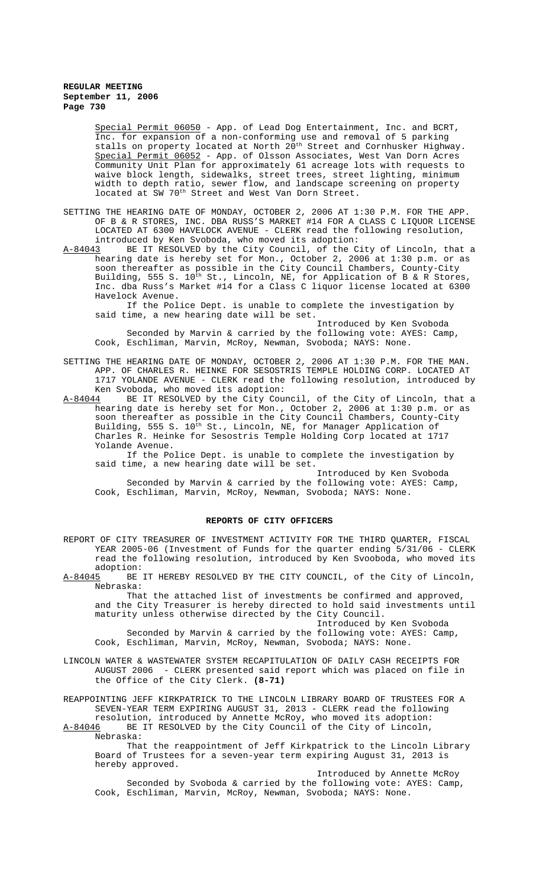Special Permit 06050 - App. of Lead Dog Entertainment, Inc. and BCRT, Inc. for expansion of a non-conforming use and removal of 5 parking stalls on property located at North 20<sup>th</sup> Street and Cornhusker Highway. Special Permit 06052 - App. of Olsson Associates, West Van Dorn Acres Community Unit Plan for approximately 61 acreage lots with requests to waive block length, sidewalks, street trees, street lighting, minimum width to depth ratio, sewer flow, and landscape screening on property located at SW 70<sup>th</sup> Street and West Van Dorn Street.

- SETTING THE HEARING DATE OF MONDAY, OCTOBER 2, 2006 AT 1:30 P.M. FOR THE APP. OF B & R STORES, INC. DBA RUSS'S MARKET #14 FOR A CLASS C LIQUOR LICENSE LOCATED AT 6300 HAVELOCK AVENUE - CLERK read the following resolution, introduced by Ken Svoboda, who moved its adoption:<br>A-84043 BE IT RESOLVED by the City Council, of the C
- BE IT RESOLVED by the City Council, of the City of Lincoln, that a hearing date is hereby set for Mon., October 2, 2006 at 1:30 p.m. or as soon thereafter as possible in the City Council Chambers, County-City Building, 555 S. 10<sup>th</sup> St., Lincoln, NE, for Application of B & R Stores, Inc. dba Russ's Market #14 for a Class C liquor license located at 6300 Havelock Avenue.

If the Police Dept. is unable to complete the investigation by said time, a new hearing date will be set.

Introduced by Ken Svoboda Seconded by Marvin & carried by the following vote: AYES: Camp, Cook, Eschliman, Marvin, McRoy, Newman, Svoboda; NAYS: None.

SETTING THE HEARING DATE OF MONDAY, OCTOBER 2, 2006 AT 1:30 P.M. FOR THE MAN. APP. OF CHARLES R. HEINKE FOR SESOSTRIS TEMPLE HOLDING CORP. LOCATED AT 1717 YOLANDE AVENUE - CLERK read the following resolution, introduced by Ken Svoboda, who moved its adoption:<br>A-84044 BE IT RESOLVED by the City Cou

BE IT RESOLVED by the City Council, of the City of Lincoln, that a hearing date is hereby set for Mon., October 2, 2006 at 1:30 p.m. or as soon thereafter as possible in the City Council Chambers, County-City Building, 555 S. 10<sup>th</sup> St., Lincoln, NE, for Manager Application of Charles R. Heinke for Sesostris Temple Holding Corp located at 1717 Yolande Avenue.

If the Police Dept. is unable to complete the investigation by said time, a new hearing date will be set.

Introduced by Ken Svoboda Seconded by Marvin & carried by the following vote: AYES: Camp, Cook, Eschliman, Marvin, McRoy, Newman, Svoboda; NAYS: None.

#### **REPORTS OF CITY OFFICERS**

- REPORT OF CITY TREASURER OF INVESTMENT ACTIVITY FOR THE THIRD QUARTER, FISCAL YEAR 2005-06 (Investment of Funds for the quarter ending 5/31/06 - CLERK read the following resolution, introduced by Ken Svooboda, who moved its  $\frac{\text{adoption:}}{\text{A}-84045}$ BE
- BE IT HEREBY RESOLVED BY THE CITY COUNCIL, of the City of Lincoln, Nebraska:

That the attached list of investments be confirmed and approved, and the City Treasurer is hereby directed to hold said investments until maturity unless otherwise directed by the City Council.

Introduced by Ken Svoboda Seconded by Marvin & carried by the following vote: AYES: Camp, Cook, Eschliman, Marvin, McRoy, Newman, Svoboda; NAYS: None.

LINCOLN WATER & WASTEWATER SYSTEM RECAPITULATION OF DAILY CASH RECEIPTS FOR AUGUST 2006 - CLERK presented said report which was placed on file in the Office of the City Clerk. **(8-71)**

REAPPOINTING JEFF KIRKPATRICK TO THE LINCOLN LIBRARY BOARD OF TRUSTEES FOR A SEVEN-YEAR TERM EXPIRING AUGUST 31, 2013 - CLERK read the following resolution, introduced by Annette McRoy, who moved its adoption:<br>A-84046 BE IT RESOLVED by the City Council of the City of Lincoln,

BE IT RESOLVED by the City Council of the City of Lincoln, Nebraska:

That the reappointment of Jeff Kirkpatrick to the Lincoln Library Board of Trustees for a seven-year term expiring August 31, 2013 is hereby approved.

Introduced by Annette McRoy Seconded by Svoboda & carried by the following vote: AYES: Camp, Cook, Eschliman, Marvin, McRoy, Newman, Svoboda; NAYS: None.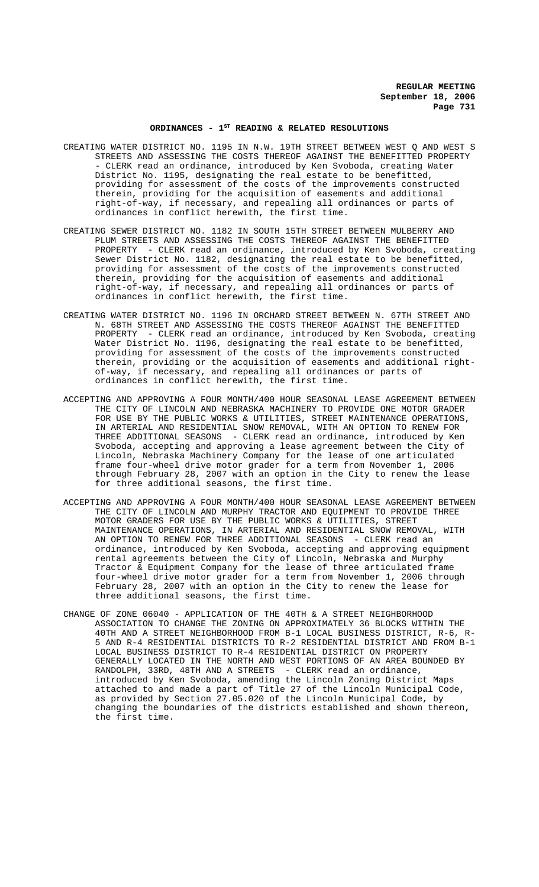# ORDINANCES - 1<sup>st</sup> READING & RELATED RESOLUTIONS

- CREATING WATER DISTRICT NO. 1195 IN N.W. 19TH STREET BETWEEN WEST Q AND WEST S STREETS AND ASSESSING THE COSTS THEREOF AGAINST THE BENEFITTED PROPERTY -----<br>CLERK read an ordinance, introduced by Ken Svoboda, creating Water District No. 1195, designating the real estate to be benefitted, providing for assessment of the costs of the improvements constructed therein, providing for the acquisition of easements and additional right-of-way, if necessary, and repealing all ordinances or parts of ordinances in conflict herewith, the first time.
- CREATING SEWER DISTRICT NO. 1182 IN SOUTH 15TH STREET BETWEEN MULBERRY AND PLUM STREETS AND ASSESSING THE COSTS THEREOF AGAINST THE BENEFITTED PROPERTY - CLERK read an ordinance, introduced by Ken Svoboda, creating Sewer District No. 1182, designating the real estate to be benefitted, providing for assessment of the costs of the improvements constructed therein, providing for the acquisition of easements and additional right-of-way, if necessary, and repealing all ordinances or parts of ordinances in conflict herewith, the first time.
- CREATING WATER DISTRICT NO. 1196 IN ORCHARD STREET BETWEEN N. 67TH STREET AND N. 68TH STREET AND ASSESSING THE COSTS THEREOF AGAINST THE BENEFITTED PROPERTY - CLERK read an ordinance, introduced by Ken Svoboda, creating Water District No. 1196, designating the real estate to be benefitted, providing for assessment of the costs of the improvements constructed therein, providing or the acquisition of easements and additional rightof-way, if necessary, and repealing all ordinances or parts of ordinances in conflict herewith, the first time.
- ACCEPTING AND APPROVING A FOUR MONTH/400 HOUR SEASONAL LEASE AGREEMENT BETWEEN THE CITY OF LINCOLN AND NEBRASKA MACHINERY TO PROVIDE ONE MOTOR GRADER FOR USE BY THE PUBLIC WORKS & UTILITIES, STREET MAINTENANCE OPERATIONS, IN ARTERIAL AND RESIDENTIAL SNOW REMOVAL, WITH AN OPTION TO RENEW FOR THREE ADDITIONAL SEASONS - CLERK read an ordinance, introduced by Ken Svoboda, accepting and approving a lease agreement between the City of Lincoln, Nebraska Machinery Company for the lease of one articulated frame four-wheel drive motor grader for a term from November 1, 2006 through February 28, 2007 with an option in the City to renew the lease for three additional seasons, the first time.
- ACCEPTING AND APPROVING A FOUR MONTH/400 HOUR SEASONAL LEASE AGREEMENT BETWEEN THE CITY OF LINCOLN AND MURPHY TRACTOR AND EQUIPMENT TO PROVIDE THREE MOTOR GRADERS FOR USE BY THE PUBLIC WORKS & UTILITIES, STREET MAINTENANCE OPERATIONS, IN ARTERIAL AND RESIDENTIAL SNOW REMOVAL, WITH AN OPTION TO RENEW FOR THREE ADDITIONAL SEASONS - CLERK read an ordinance, introduced by Ken Svoboda, accepting and approving equipment rental agreements between the City of Lincoln, Nebraska and Murphy Tractor & Equipment Company for the lease of three articulated frame four-wheel drive motor grader for a term from November 1, 2006 through February 28, 2007 with an option in the City to renew the lease for three additional seasons, the first time.
- CHANGE OF ZONE 06040 APPLICATION OF THE 40TH & A STREET NEIGHBORHOOD ASSOCIATION TO CHANGE THE ZONING ON APPROXIMATELY 36 BLOCKS WITHIN THE 40TH AND A STREET NEIGHBORHOOD FROM B-1 LOCAL BUSINESS DISTRICT, R-6, R-5 AND R-4 RESIDENTIAL DISTRICTS TO R-2 RESIDENTIAL DISTRICT AND FROM B-1 LOCAL BUSINESS DISTRICT TO R-4 RESIDENTIAL DISTRICT ON PROPERTY GENERALLY LOCATED IN THE NORTH AND WEST PORTIONS OF AN AREA BOUNDED BY RANDOLPH, 33RD, 48TH AND A STREETS - CLERK read an ordinance, introduced by Ken Svoboda, amending the Lincoln Zoning District Maps attached to and made a part of Title 27 of the Lincoln Municipal Code, as provided by Section 27.05.020 of the Lincoln Municipal Code, by changing the boundaries of the districts established and shown thereon, the first time.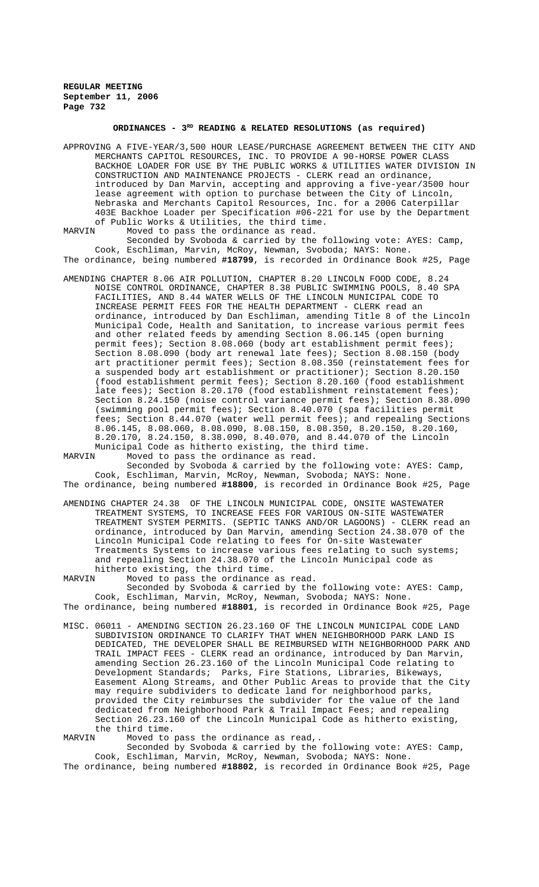## ORDINANCES - 3<sup>RD</sup> READING & RELATED RESOLUTIONS (as required)

- APPROVING A FIVE-YEAR/3,500 HOUR LEASE/PURCHASE AGREEMENT BETWEEN THE CITY AND MERCHANTS CAPITOL RESOURCES, INC. TO PROVIDE A 90-HORSE POWER CLASS BACKHOE LOADER FOR USE BY THE PUBLIC WORKS & UTILITIES WATER DIVISION IN CONSTRUCTION AND MAINTENANCE PROJECTS - CLERK read an ordinance, introduced by Dan Marvin, accepting and approving a five-year/3500 hour lease agreement with option to purchase between the City of Lincoln, Nebraska and Merchants Capitol Resources, Inc. for a 2006 Caterpillar 403E Backhoe Loader per Specification #06-221 for use by the Department of Public Works & Utilities, the third time.<br>MARVIN Moved to pass the ordinance as read.
- Moved to pass the ordinance as read. Seconded by Svoboda & carried by the following vote: AYES: Camp, Cook, Eschliman, Marvin, McRoy, Newman, Svoboda; NAYS: None.

The ordinance, being numbered **#18799**, is recorded in Ordinance Book #25, Page

AMENDING CHAPTER 8.06 AIR POLLUTION, CHAPTER 8.20 LINCOLN FOOD CODE, 8.24 NOISE CONTROL ORDINANCE, CHAPTER 8.38 PUBLIC SWIMMING POOLS, 8.40 SPA FACILITIES, AND 8.44 WATER WELLS OF THE LINCOLN MUNICIPAL CODE TO INCREASE PERMIT FEES FOR THE HEALTH DEPARTMENT - CLERK read an ordinance, introduced by Dan Eschliman, amending Title 8 of the Lincoln Municipal Code, Health and Sanitation, to increase various permit fees and other related feeds by amending Section 8.06.145 (open burning permit fees); Section 8.08.060 (body art establishment permit fees); Section 8.08.090 (body art renewal late fees); Section 8.08.150 (body art practitioner permit fees); Section 8.08.350 (reinstatement fees for a suspended body art establishment or practitioner); Section 8.20.150 (food establishment permit fees); Section 8.20.160 (food establishment late fees); Section 8.20.170 (food establishment reinstatement fees); Section 8.24.150 (noise control variance permit fees); Section 8.38.090 (swimming pool permit fees); Section 8.40.070 (spa facilities permit fees; Section 8.44.070 (water well permit fees); and repealing Sections 8.06.145, 8.08.060, 8.08.090, 8.08.150, 8.08.350, 8.20.150, 8.20.160, 8.20.170, 8.24.150, 8.38.090, 8.40.070, and 8.44.070 of the Lincoln Municipal Code as hitherto existing, the third time.<br>MARVIN Moved to pass the ordinance as read.

Moved to pass the ordinance as read. Seconded by Svoboda & carried by the following vote: AYES: Camp, Cook, Eschliman, Marvin, McRoy, Newman, Svoboda; NAYS: None.

The ordinance, being numbered **#18800**, is recorded in Ordinance Book #25, Page

AMENDING CHAPTER 24.38 OF THE LINCOLN MUNICIPAL CODE, ONSITE WASTEWATER TREATMENT SYSTEMS, TO INCREASE FEES FOR VARIOUS ON-SITE WASTEWATER TREATMENT SYSTEM PERMITS. (SEPTIC TANKS AND/OR LAGOONS) - CLERK read an ordinance, introduced by Dan Marvin, amending Section 24.38.070 of the Lincoln Municipal Code relating to fees for On-site Wastewater Treatments Systems to increase various fees relating to such systems; and repealing Section 24.38.070 of the Lincoln Municipal code as hitherto existing, the third time.<br>MARVIN Moved to pass the ordinance

Moved to pass the ordinance as read. Seconded by Svoboda & carried by the following vote: AYES: Camp, Cook, Eschliman, Marvin, McRoy, Newman, Svoboda; NAYS: None. The ordinance, being numbered **#18801**, is recorded in Ordinance Book #25, Page

MISC. 06011 - AMENDING SECTION 26.23.160 OF THE LINCOLN MUNICIPAL CODE LAND SUBDIVISION ORDINANCE TO CLARIFY THAT WHEN NEIGHBORHOOD PARK LAND IS DEDICATED, THE DEVELOPER SHALL BE REIMBURSED WITH NEIGHBORHOOD PARK AND TRAIL IMPACT FEES - CLERK read an ordinance, introduced by Dan Marvin, amending Section 26.23.160 of the Lincoln Municipal Code relating to Development Standards; Parks, Fire Stations, Libraries, Bikeways, Easement Along Streams, and Other Public Areas to provide that the City may require subdividers to dedicate land for neighborhood parks, provided the City reimburses the subdivider for the value of the land dedicated from Neighborhood Park & Trail Impact Fees; and repealing Section 26.23.160 of the Lincoln Municipal Code as hitherto existing, the third time.

MARVIN Moved to pass the ordinance as read,.

Seconded by Svoboda & carried by the following vote: AYES: Camp, Cook, Eschliman, Marvin, McRoy, Newman, Svoboda; NAYS: None. The ordinance, being numbered **#18802**, is recorded in Ordinance Book #25, Page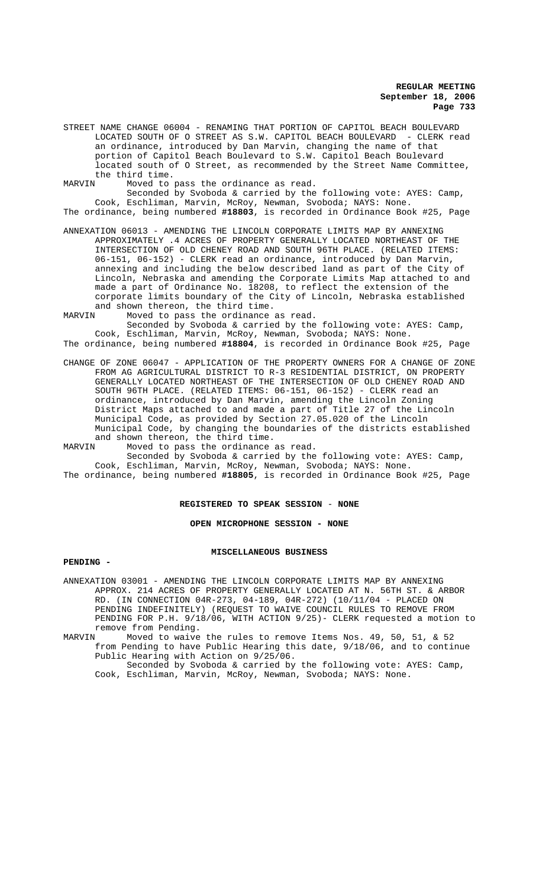STREET NAME CHANGE 06004 - RENAMING THAT PORTION OF CAPITOL BEACH BOULEVARD LOCATED SOUTH OF O STREET AS S.W. CAPITOL BEACH BOULEVARD - CLERK read an ordinance, introduced by Dan Marvin, changing the name of that portion of Capitol Beach Boulevard to S.W. Capitol Beach Boulevard located south of O Street, as recommended by the Street Name Committee, the third time.<br>MARVIN Moved to

MARVIN Moved to pass the ordinance as read.

Seconded by Svoboda & carried by the following vote: AYES: Camp, Cook, Eschliman, Marvin, McRoy, Newman, Svoboda; NAYS: None. The ordinance, being numbered **#18803**, is recorded in Ordinance Book #25, Page

- ANNEXATION 06013 AMENDING THE LINCOLN CORPORATE LIMITS MAP BY ANNEXING APPROXIMATELY .4 ACRES OF PROPERTY GENERALLY LOCATED NORTHEAST OF THE INTERSECTION OF OLD CHENEY ROAD AND SOUTH 96TH PLACE. (RELATED ITEMS: 06-151, 06-152) - CLERK read an ordinance, introduced by Dan Marvin, annexing and including the below described land as part of the City of Lincoln, Nebraska and amending the Corporate Limits Map attached to and made a part of Ordinance No. 18208, to reflect the extension of the corporate limits boundary of the City of Lincoln, Nebraska established
- and shown thereon, the third time.<br>MARVIN Moved to pass the ordinance Moved to pass the ordinance as read. Seconded by Svoboda & carried by the following vote: AYES: Camp,

Cook, Eschliman, Marvin, McRoy, Newman, Svoboda; NAYS: None. The ordinance, being numbered **#18804**, is recorded in Ordinance Book #25, Page

CHANGE OF ZONE 06047 - APPLICATION OF THE PROPERTY OWNERS FOR A CHANGE OF ZONE FROM AG AGRICULTURAL DISTRICT TO R-3 RESIDENTIAL DISTRICT, ON PROPERTY GENERALLY LOCATED NORTHEAST OF THE INTERSECTION OF OLD CHENEY ROAD AND SOUTH 96TH PLACE. (RELATED ITEMS: 06-151, 06-152) - CLERK read an ordinance, introduced by Dan Marvin, amending the Lincoln Zoning District Maps attached to and made a part of Title 27 of the Lincoln Municipal Code, as provided by Section 27.05.020 of the Lincoln Municipal Code, by changing the boundaries of the districts established and shown thereon, the third time.

MARVIN Moved to pass the ordinance as read. Seconded by Svoboda & carried by the following vote: AYES: Camp, Cook, Eschliman, Marvin, McRoy, Newman, Svoboda; NAYS: None.

The ordinance, being numbered **#18805**, is recorded in Ordinance Book #25, Page

#### **REGISTERED TO SPEAK SESSION** - **NONE**

#### **OPEN MICROPHONE SESSION - NONE**

#### **MISCELLANEOUS BUSINESS**

## **PENDING -**

ANNEXATION 03001 - AMENDING THE LINCOLN CORPORATE LIMITS MAP BY ANNEXING APPROX. 214 ACRES OF PROPERTY GENERALLY LOCATED AT N. 56TH ST. & ARBOR RD. (IN CONNECTION 04R-273, 04-189, 04R-272) (10/11/04 - PLACED ON PENDING INDEFINITELY) (REQUEST TO WAIVE COUNCIL RULES TO REMOVE FROM PENDING FOR P.H. 9/18/06, WITH ACTION 9/25)- CLERK requested a motion to remove from Pending.<br>MARVIN Moved to waive

Moved to waive the rules to remove Items Nos. 49, 50, 51, & 52 from Pending to have Public Hearing this date, 9/18/06, and to continue Public Hearing with Action on 9/25/06.

Seconded by Svoboda & carried by the following vote: AYES: Camp, Cook, Eschliman, Marvin, McRoy, Newman, Svoboda; NAYS: None.